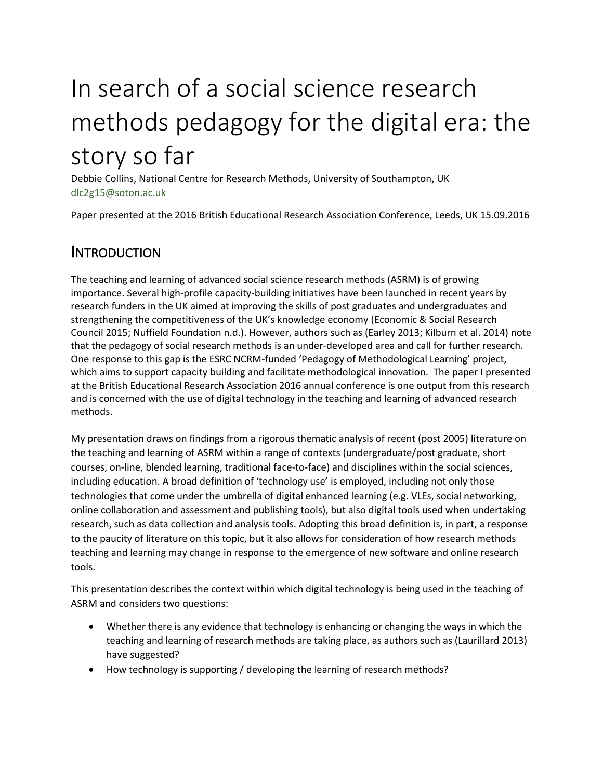# In search of a social science research methods pedagogy for the digital era: the story so far

Debbie Collins, National Centre for Research Methods, University of Southampton, UK [dlc2g15@soton.ac.uk](mailto:dlc2g15@soton.ac.uk)

Paper presented at the 2016 British Educational Research Association Conference, Leeds, UK 15.09.2016

#### INTRODUCTION

The teaching and learning of advanced social science research methods (ASRM) is of growing importance. Several high-profile capacity-building initiatives have been launched in recent years by research funders in the UK aimed at improving the skills of post graduates and undergraduates and strengthening the competitiveness of the UK's knowledge economy (Economic & Social Research Council 2015; Nuffield Foundation n.d.). However, authors such as (Earley 2013; Kilburn et al. 2014) note that the pedagogy of social research methods is an under-developed area and call for further research. One response to this gap is the ESRC NCRM-funded 'Pedagogy of Methodological Learning' project, which aims to support capacity building and facilitate methodological innovation. The paper I presented at the British Educational Research Association 2016 annual conference is one output from this research and is concerned with the use of digital technology in the teaching and learning of advanced research methods.

My presentation draws on findings from a rigorous thematic analysis of recent (post 2005) literature on the teaching and learning of ASRM within a range of contexts (undergraduate/post graduate, short courses, on-line, blended learning, traditional face-to-face) and disciplines within the social sciences, including education. A broad definition of 'technology use' is employed, including not only those technologies that come under the umbrella of digital enhanced learning (e.g. VLEs, social networking, online collaboration and assessment and publishing tools), but also digital tools used when undertaking research, such as data collection and analysis tools. Adopting this broad definition is, in part, a response to the paucity of literature on this topic, but it also allows for consideration of how research methods teaching and learning may change in response to the emergence of new software and online research tools.

This presentation describes the context within which digital technology is being used in the teaching of ASRM and considers two questions:

- Whether there is any evidence that technology is enhancing or changing the ways in which the teaching and learning of research methods are taking place, as authors such as (Laurillard 2013) have suggested?
- How technology is supporting / developing the learning of research methods?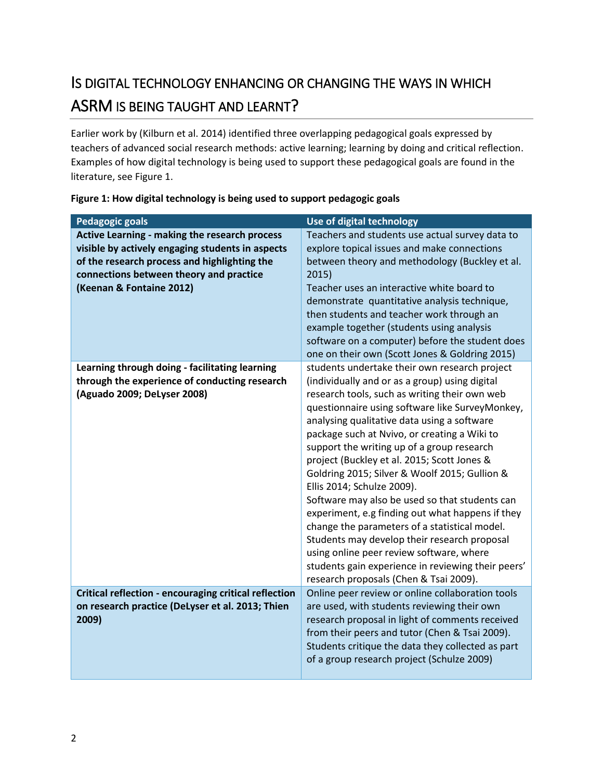## IS DIGITAL TECHNOLOGY ENHANCING OR CHANGING THE WAYS IN WHICH ASRM IS BEING TAUGHT AND LEARNT?

Earlier work by (Kilburn et al. 2014) identified three overlapping pedagogical goals expressed by teachers of advanced social research methods: active learning; learning by doing and critical reflection. Examples of how digital technology is being used to support these pedagogical goals are found in the literature, see Figure 1.

| <b>Pedagogic goals</b>                                                                                                                                                                                                   | Use of digital technology                                                                                                                                                                                                                                                                                                                                                                                                                                                                                                                                                                                                                                                                                                                                                                                                         |
|--------------------------------------------------------------------------------------------------------------------------------------------------------------------------------------------------------------------------|-----------------------------------------------------------------------------------------------------------------------------------------------------------------------------------------------------------------------------------------------------------------------------------------------------------------------------------------------------------------------------------------------------------------------------------------------------------------------------------------------------------------------------------------------------------------------------------------------------------------------------------------------------------------------------------------------------------------------------------------------------------------------------------------------------------------------------------|
| Active Learning - making the research process<br>visible by actively engaging students in aspects<br>of the research process and highlighting the<br>connections between theory and practice<br>(Keenan & Fontaine 2012) | Teachers and students use actual survey data to<br>explore topical issues and make connections<br>between theory and methodology (Buckley et al.<br>2015)<br>Teacher uses an interactive white board to<br>demonstrate quantitative analysis technique,<br>then students and teacher work through an<br>example together (students using analysis<br>software on a computer) before the student does<br>one on their own (Scott Jones & Goldring 2015)                                                                                                                                                                                                                                                                                                                                                                            |
| Learning through doing - facilitating learning<br>through the experience of conducting research<br>(Aguado 2009; DeLyser 2008)                                                                                           | students undertake their own research project<br>(individually and or as a group) using digital<br>research tools, such as writing their own web<br>questionnaire using software like SurveyMonkey,<br>analysing qualitative data using a software<br>package such at Nvivo, or creating a Wiki to<br>support the writing up of a group research<br>project (Buckley et al. 2015; Scott Jones &<br>Goldring 2015; Silver & Woolf 2015; Gullion &<br>Ellis 2014; Schulze 2009).<br>Software may also be used so that students can<br>experiment, e.g finding out what happens if they<br>change the parameters of a statistical model.<br>Students may develop their research proposal<br>using online peer review software, where<br>students gain experience in reviewing their peers'<br>research proposals (Chen & Tsai 2009). |
| Critical reflection - encouraging critical reflection<br>on research practice (DeLyser et al. 2013; Thien<br>2009)                                                                                                       | Online peer review or online collaboration tools<br>are used, with students reviewing their own<br>research proposal in light of comments received<br>from their peers and tutor (Chen & Tsai 2009).<br>Students critique the data they collected as part<br>of a group research project (Schulze 2009)                                                                                                                                                                                                                                                                                                                                                                                                                                                                                                                           |

| Figure 1: How digital technology is being used to support pedagogic goals |  |  |  |
|---------------------------------------------------------------------------|--|--|--|
|---------------------------------------------------------------------------|--|--|--|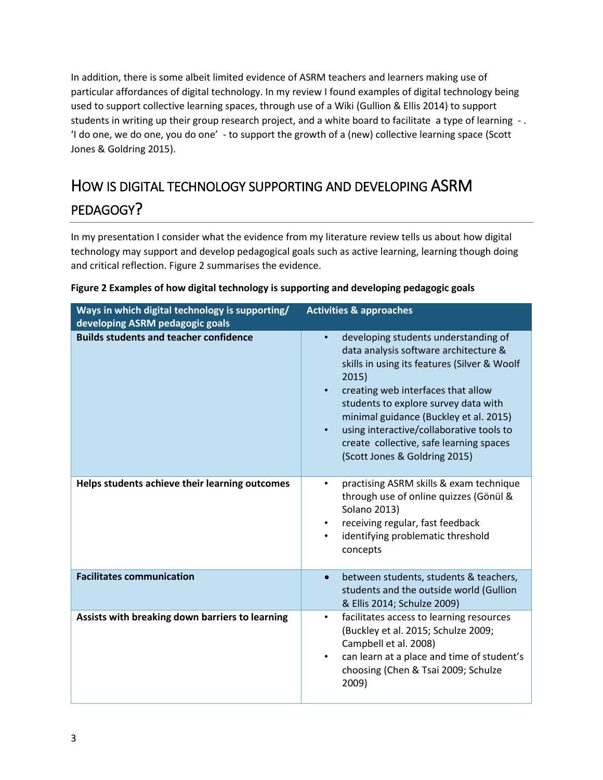In addition, there is some albeit limited evidence of ASRM teachers and learners making use of particular affordances of digital technology. In my review I found examples of digital technology being used to support collective learning spaces, through use of a Wiki (Gullion & Ellis 2014) to support students in writing up their group research project, and a white board to facilitate a type of learning - . 'I do one, we do one, you do one' - to support the growth of a (new) collective learning space (Scott Jones & Goldring 2015).

## HOW IS DIGITAL TECHNOLOGY SUPPORTING AND DEVELOPING ASRM PEDAGOGY?

In my presentation I consider what the evidence from my literature review tells us about how digital technology may support and develop pedagogical goals such as active learning, learning though doing and critical reflection. Figure 2 summarises the evidence.

| Ways in which digital technology is supporting/<br>developing ASRM pedagogic goals | <b>Activities &amp; approaches</b>                                                                                                                                                                                                                                                                                                                                                                               |
|------------------------------------------------------------------------------------|------------------------------------------------------------------------------------------------------------------------------------------------------------------------------------------------------------------------------------------------------------------------------------------------------------------------------------------------------------------------------------------------------------------|
| <b>Builds students and teacher confidence</b>                                      | developing students understanding of<br>$\bullet$<br>data analysis software architecture &<br>skills in using its features (Silver & Woolf<br>2015)<br>creating web interfaces that allow<br>$\bullet$<br>students to explore survey data with<br>minimal guidance (Buckley et al. 2015)<br>using interactive/collaborative tools to<br>create collective, safe learning spaces<br>(Scott Jones & Goldring 2015) |
| Helps students achieve their learning outcomes                                     | practising ASRM skills & exam technique<br>$\bullet$<br>through use of online quizzes (Gönül &<br><b>Solano 2013)</b><br>receiving regular, fast feedback<br>$\bullet$<br>identifying problematic threshold<br>$\bullet$<br>concepts                                                                                                                                                                             |
| <b>Facilitates communication</b>                                                   | between students, students & teachers,<br>$\bullet$<br>students and the outside world (Gullion<br>& Ellis 2014; Schulze 2009)                                                                                                                                                                                                                                                                                    |
| Assists with breaking down barriers to learning                                    | facilitates access to learning resources<br>$\bullet$<br>(Buckley et al. 2015; Schulze 2009;<br>Campbell et al. 2008)<br>can learn at a place and time of student's<br>$\bullet$<br>choosing (Chen & Tsai 2009; Schulze<br>2009)                                                                                                                                                                                 |

#### **Figure 2 Examples of how digital technology is supporting and developing pedagogic goals**